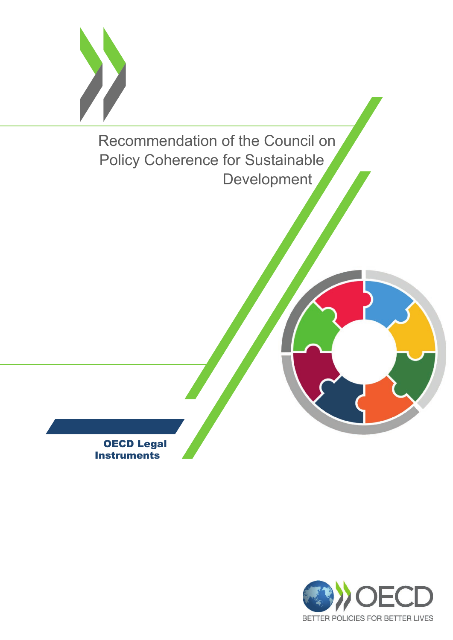

OECD Legal **Instruments** 

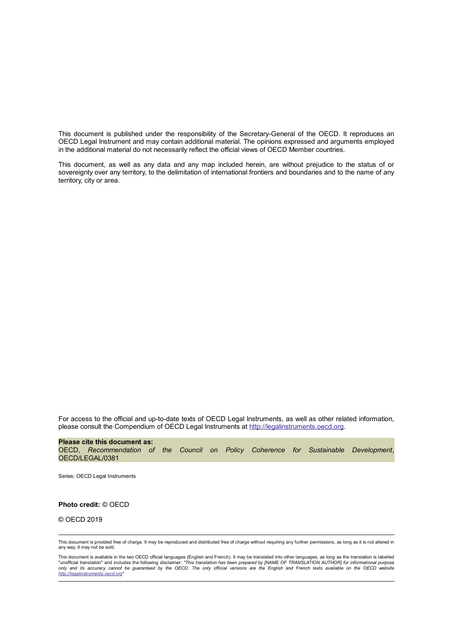This document is published under the responsibility of the Secretary-General of the OECD. It reproduces an OECD Legal Instrument and may contain additional material. The opinions expressed and arguments employed in the additional material do not necessarily reflect the official views of OECD Member countries.

This document, as well as any data and any map included herein, are without prejudice to the status of or sovereignty over any territory, to the delimitation of international frontiers and boundaries and to the name of any territory, city or area.

For access to the official and up-to-date texts of OECD Legal Instruments, as well as other related information, please consult the Compendium of OECD Legal Instruments at http://legalinstruments.oecd.org.

**Please cite this document as:** OECD, *Recommendation of the Council on Policy Coherence for Sustainable Development*, OECD/LEGAL/0381

Series: OECD Legal Instruments

**Photo credit:** © OECD

© OECD 2019

This document is provided free of charge. It may be reproduced and distributed free of charge without requiring any further permissions, as long as it is not altered in any way. It may not be sold.

This document is available in the two OECD official languages (English and French). It may be translated into other languages, as long as the translation is labelled<br>"unofficial translation" and includes the following disc *only and its accuracy cannot be guaranteed by the OECD. The only official versions are the English and French texts available on the OECD website http://legalinstruments.oecd.org"*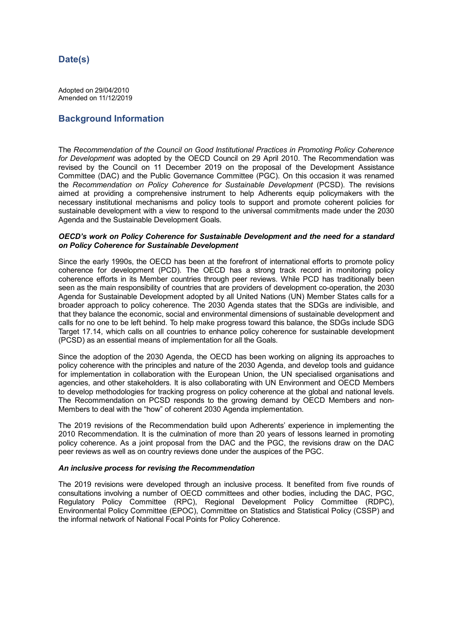# **Date(s)**

Adopted on 29/04/2010 Amended on 11/12/2019

# **Background Information**

The *Recommendation of the Council on Good Institutional Practices in Promoting Policy Coherence for Development* was adopted by the OECD Council on 29 April 2010. The Recommendation was revised by the Council on 11 December 2019 on the proposal of the Development Assistance Committee (DAC) and the Public Governance Committee (PGC). On this occasion it was renamed the *Recommendation on Policy Coherence for Sustainable Development* (PCSD). The revisions aimed at providing a comprehensive instrument to help Adherents equip policymakers with the necessary institutional mechanisms and policy tools to support and promote coherent policies for sustainable development with a view to respond to the universal commitments made under the 2030 Agenda and the Sustainable Development Goals.

### *OECD's work on Policy Coherence for Sustainable Development and the need for a standard on Policy Coherence for Sustainable Development*

Since the early 1990s, the OECD has been at the forefront of international efforts to promote policy coherence for development (PCD). The OECD has a strong track record in monitoring policy coherence efforts in its Member countries through peer reviews. While PCD has traditionally been seen as the main responsibility of countries that are providers of development co-operation, the 2030 Agenda for Sustainable Development adopted by all United Nations (UN) Member States calls for a broader approach to policy coherence. The 2030 Agenda states that the SDGs are indivisible, and that they balance the economic, social and environmental dimensions of sustainable development and calls for no one to be left behind. To help make progress toward this balance, the SDGs include SDG Target 17.14, which calls on all countries to enhance policy coherence for sustainable development (PCSD) as an essential means of implementation for all the Goals.

Since the adoption of the 2030 Agenda, the OECD has been working on aligning its approaches to policy coherence with the principles and nature of the 2030 Agenda, and develop tools and guidance for implementation in collaboration with the European Union, the UN specialised organisations and agencies, and other stakeholders. It is also collaborating with UN Environment and OECD Members to develop methodologies for tracking progress on policy coherence at the global and national levels. The Recommendation on PCSD responds to the growing demand by OECD Members and non-Members to deal with the "how" of coherent 2030 Agenda implementation.

The 2019 revisions of the Recommendation build upon Adherents' experience in implementing the 2010 Recommendation. It is the culmination of more than 20 years of lessons learned in promoting policy coherence. As a joint proposal from the DAC and the PGC, the revisions draw on the DAC peer reviews as well as on country reviews done under the auspices of the PGC.

#### *An inclusive process for revising the Recommendation*

The 2019 revisions were developed through an inclusive process. It benefited from five rounds of consultations involving a number of OECD committees and other bodies, including the DAC, PGC, Regulatory Policy Committee (RPC), Regional Development Policy Committee (RDPC), Environmental Policy Committee (EPOC), Committee on Statistics and Statistical Policy (CSSP) and the informal network of National Focal Points for Policy Coherence.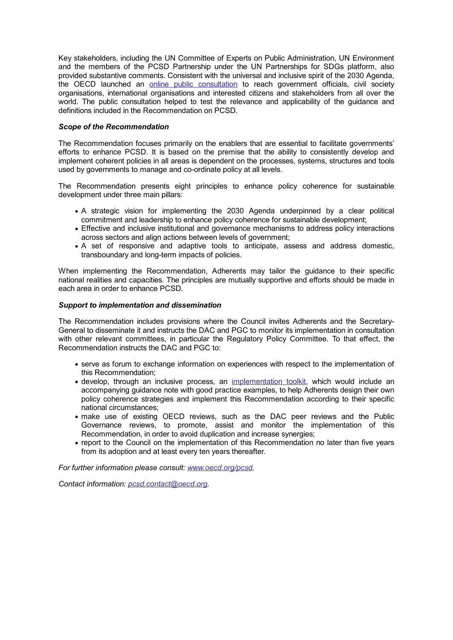Key stakeholders, including the UN Committee of Experts on Public Administration, UN Environment and the members of the PCSD Partnership under the UN Partnerships for SDGs platform, also provided substantive comments. Consistent with the universal and inclusive spirit of the 2030 Agenda, the OECD launched an online public consultation to reach government officials, civil society organisations, international organisations and interested citizens and stakeholders from all over the world. The public consultation helped to test the relevance and applicability of the guidance and definitions included in the Recommendation on PCSD.

## *Scope of the Recommendation*

The Recommendation focuses primarily on the enablers that are essential to facilitate governments' efforts to enhance PCSD. It is based on the premise that the ability to consistently develop and implement coherent policies in all areas is dependent on the processes, systems, structures and tools used by governments to manage and co-ordinate policy at all levels.

The Recommendation presents eight principles to enhance policy coherence for sustainable development under three main pillars:

- A strategic vision for implementing the 2030 Agenda underpinned by a clear political commitment and leadership to enhance policy coherence for sustainable development;
- Effective and inclusive institutional and governance mechanisms to address policy interactions across sectors and align actions between levels of government;
- A set of responsive and adaptive tools to anticipate, assess and address domestic, transboundary and long-term impacts of policies.

When implementing the Recommendation, Adherents may tailor the guidance to their specific national realities and capacities. The principles are mutually supportive and efforts should be made in each area in order to enhance PCSD.

#### *Support to implementation and dissemination*

The Recommendation includes provisions where the Council invites Adherents and the Secretary-General to disseminate it and instructs the DAC and PGC to monitor its implementation in consultation with other relevant committees, in particular the Regulatory Policy Committee. To that effect, the Recommendation instructs the DAC and PGC to:

- serve as forum to exchange information on experiences with respect to the implementation of this Recommendation;
- develop, through an inclusive process, an implementation toolkit, which would include an accompanying guidance note with good practice examples, to help Adherents design their own policy coherence strategies and implement this Recommendation according to their specific national circumstances;
- make use of existing OECD reviews, such as the DAC peer reviews and the Public Governance reviews, to promote, assist and monitor the implementation of this Recommendation, in order to avoid duplication and increase synergies;
- report to the Council on the implementation of this Recommendation no later than five years from its adoption and at least every ten years thereafter.

*For further information please consult: www.oecd.org/pcsd.*

*Contact information: pcsd.contact@oecd.org.*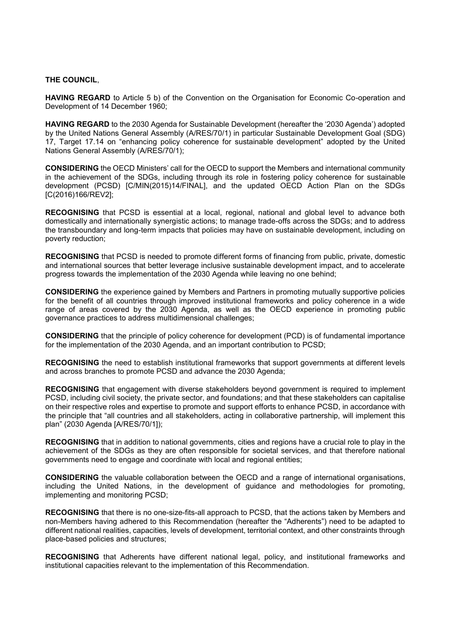#### **THE COUNCIL**,

**HAVING REGARD** to Article 5 b) of the Convention on the Organisation for Economic Co-operation and Development of 14 December 1960;

**HAVING REGARD** to the 2030 Agenda for Sustainable Development (hereafter the '2030 Agenda') adopted by the United Nations General Assembly (A/RES/70/1) in particular Sustainable Development Goal (SDG) 17, Target 17.14 on "enhancing policy coherence for sustainable development" adopted by the United Nations General Assembly (A/RES/70/1);

**CONSIDERING** the OECD Ministers' call for the OECD to support the Members and international community in the achievement of the SDGs, including through its role in fostering policy coherence for sustainable development (PCSD) [C/MIN(2015)14/FINAL], and the updated OECD Action Plan on the SDGs [C(2016)166/REV2];

**RECOGNISING** that PCSD is essential at a local, regional, national and global level to advance both domestically and internationally synergistic actions; to manage trade-offs across the SDGs; and to address the transboundary and long-term impacts that policies may have on sustainable development, including on poverty reduction;

**RECOGNISING** that PCSD is needed to promote different forms of financing from public, private, domestic and international sources that better leverage inclusive sustainable development impact, and to accelerate progress towards the implementation of the 2030 Agenda while leaving no one behind;

**CONSIDERING** the experience gained by Members and Partners in promoting mutually supportive policies for the benefit of all countries through improved institutional frameworks and policy coherence in a wide range of areas covered by the 2030 Agenda, as well as the OECD experience in promoting public governance practices to address multidimensional challenges;

**CONSIDERING** that the principle of policy coherence for development (PCD) is of fundamental importance for the implementation of the 2030 Agenda, and an important contribution to PCSD;

**RECOGNISING** the need to establish institutional frameworks that support governments at different levels and across branches to promote PCSD and advance the 2030 Agenda;

**RECOGNISING** that engagement with diverse stakeholders beyond government is required to implement PCSD, including civil society, the private sector, and foundations; and that these stakeholders can capitalise on their respective roles and expertise to promote and support efforts to enhance PCSD, in accordance with the principle that "all countries and all stakeholders, acting in collaborative partnership, will implement this plan" (2030 Agenda [A/RES/70/1]);

**RECOGNISING** that in addition to national governments, cities and regions have a crucial role to play in the achievement of the SDGs as they are often responsible for societal services, and that therefore national governments need to engage and coordinate with local and regional entities;

**CONSIDERING** the valuable collaboration between the OECD and a range of international organisations, including the United Nations, in the development of guidance and methodologies for promoting, implementing and monitoring PCSD;

**RECOGNISING** that there is no one-size-fits-all approach to PCSD, that the actions taken by Members and non-Members having adhered to this Recommendation (hereafter the "Adherents") need to be adapted to different national realities, capacities, levels of development, territorial context, and other constraints through place-based policies and structures;

**RECOGNISING** that Adherents have different national legal, policy, and institutional frameworks and institutional capacities relevant to the implementation of this Recommendation.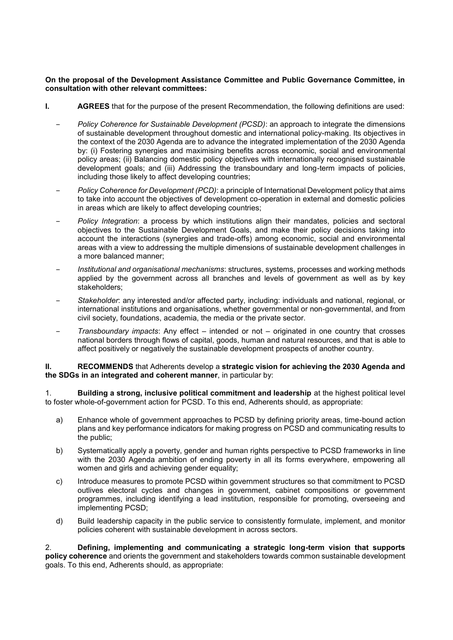## **On the proposal of the Development Assistance Committee and Public Governance Committee, in consultation with other relevant committees:**

- **I. AGREES** that for the purpose of the present Recommendation, the following definitions are used:
	- ‒ *Policy Coherence for Sustainable Development (PCSD)*: an approach to integrate the dimensions of sustainable development throughout domestic and international policy-making. Its objectives in the context of the 2030 Agenda are to advance the integrated implementation of the 2030 Agenda by: (i) Fostering synergies and maximising benefits across economic, social and environmental policy areas; (ii) Balancing domestic policy objectives with internationally recognised sustainable development goals; and (iii) Addressing the transboundary and long-term impacts of policies, including those likely to affect developing countries;
	- ‒ *Policy Coherence for Development (PCD)*: a principle of International Development policy that aims to take into account the objectives of development co-operation in external and domestic policies in areas which are likely to affect developing countries;
	- ‒ *Policy Integration*: a process by which institutions align their mandates, policies and sectoral objectives to the Sustainable Development Goals, and make their policy decisions taking into account the interactions (synergies and trade-offs) among economic, social and environmental areas with a view to addressing the multiple dimensions of sustainable development challenges in a more balanced manner;
	- ‒ *Institutional and organisational mechanisms*: structures, systems, processes and working methods applied by the government across all branches and levels of government as well as by key stakeholders;
	- ‒ *Stakeholder*: any interested and/or affected party, including: individuals and national, regional, or international institutions and organisations, whether governmental or non-governmental, and from civil society, foundations, academia, the media or the private sector.
	- ‒ *Transboundary impacts*: Any effect intended or not originated in one country that crosses national borders through flows of capital, goods, human and natural resources, and that is able to affect positively or negatively the sustainable development prospects of another country.

**II. RECOMMENDS** that Adherents develop a **strategic vision for achieving the 2030 Agenda and the SDGs in an integrated and coherent manner**, in particular by:

1. **Building a strong, inclusive political commitment and leadership** at the highest political level to foster whole-of-government action for PCSD. To this end, Adherents should, as appropriate:

- a) Enhance whole of government approaches to PCSD by defining priority areas, time-bound action plans and key performance indicators for making progress on PCSD and communicating results to the public;
- b) Systematically apply a poverty, gender and human rights perspective to PCSD frameworks in line with the 2030 Agenda ambition of ending poverty in all its forms everywhere, empowering all women and girls and achieving gender equality;
- c) Introduce measures to promote PCSD within government structures so that commitment to PCSD outlives electoral cycles and changes in government, cabinet compositions or government programmes, including identifying a lead institution, responsible for promoting, overseeing and implementing PCSD;
- d) Build leadership capacity in the public service to consistently formulate, implement, and monitor policies coherent with sustainable development in across sectors.

2. **Defining, implementing and communicating a strategic long-term vision that supports policy coherence** and orients the government and stakeholders towards common sustainable development goals. To this end, Adherents should, as appropriate: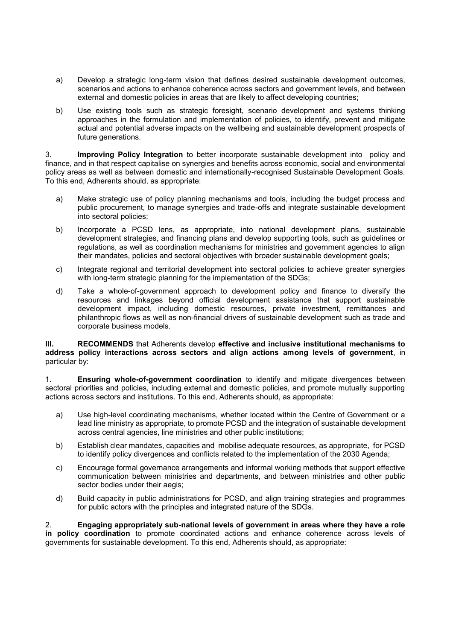- a) Develop a strategic long-term vision that defines desired sustainable development outcomes, scenarios and actions to enhance coherence across sectors and government levels, and between external and domestic policies in areas that are likely to affect developing countries;
- b) Use existing tools such as strategic foresight, scenario development and systems thinking approaches in the formulation and implementation of policies, to identify, prevent and mitigate actual and potential adverse impacts on the wellbeing and sustainable development prospects of future generations.

3. **Improving Policy Integration** to better incorporate sustainable development into policy and finance, and in that respect capitalise on synergies and benefits across economic, social and environmental policy areas as well as between domestic and internationally-recognised Sustainable Development Goals. To this end, Adherents should, as appropriate:

- a) Make strategic use of policy planning mechanisms and tools, including the budget process and public procurement, to manage synergies and trade-offs and integrate sustainable development into sectoral policies;
- b) Incorporate a PCSD lens, as appropriate, into national development plans, sustainable development strategies, and financing plans and develop supporting tools, such as guidelines or regulations, as well as coordination mechanisms for ministries and government agencies to align their mandates, policies and sectoral objectives with broader sustainable development goals;
- c) Integrate regional and territorial development into sectoral policies to achieve greater synergies with long-term strategic planning for the implementation of the SDGs;
- d) Take a whole-of-government approach to development policy and finance to diversify the resources and linkages beyond official development assistance that support sustainable development impact, including domestic resources, private investment, remittances and philanthropic flows as well as non-financial drivers of sustainable development such as trade and corporate business models.

### **III. RECOMMENDS** that Adherents develop **effective and inclusive institutional mechanisms to address policy interactions across sectors and align actions among levels of government**, in particular by:

1. **Ensuring whole-of-government coordination** to identify and mitigate divergences between sectoral priorities and policies, including external and domestic policies, and promote mutually supporting actions across sectors and institutions. To this end, Adherents should, as appropriate:

- a) Use high-level coordinating mechanisms, whether located within the Centre of Government or a lead line ministry as appropriate, to promote PCSD and the integration of sustainable development across central agencies, line ministries and other public institutions;
- b) Establish clear mandates, capacities and mobilise adequate resources, as appropriate, for PCSD to identify policy divergences and conflicts related to the implementation of the 2030 Agenda;
- c) Encourage formal governance arrangements and informal working methods that support effective communication between ministries and departments, and between ministries and other public sector bodies under their aegis;
- d) Build capacity in public administrations for PCSD, and align training strategies and programmes for public actors with the principles and integrated nature of the SDGs.

2. **Engaging appropriately sub-national levels of government in areas where they have a role in policy coordination** to promote coordinated actions and enhance coherence across levels of governments for sustainable development. To this end, Adherents should, as appropriate: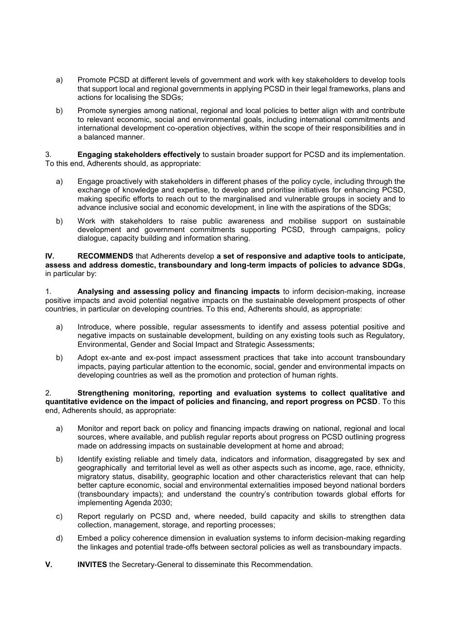- a) Promote PCSD at different levels of government and work with key stakeholders to develop tools that support local and regional governments in applying PCSD in their legal frameworks, plans and actions for localising the SDGs;
- b) Promote synergies among national, regional and local policies to better align with and contribute to relevant economic, social and environmental goals, including international commitments and international development co-operation objectives, within the scope of their responsibilities and in a balanced manner.

3. **Engaging stakeholders effectively** to sustain broader support for PCSD and its implementation. To this end, Adherents should, as appropriate:

- a) Engage proactively with stakeholders in different phases of the policy cycle, including through the exchange of knowledge and expertise, to develop and prioritise initiatives for enhancing PCSD, making specific efforts to reach out to the marginalised and vulnerable groups in society and to advance inclusive social and economic development, in line with the aspirations of the SDGs;
- b) Work with stakeholders to raise public awareness and mobilise support on sustainable development and government commitments supporting PCSD, through campaigns, policy dialogue, capacity building and information sharing.

**IV. RECOMMENDS** that Adherents develop **a set of responsive and adaptive tools to anticipate, assess and address domestic, transboundary and long-term impacts of policies to advance SDGs**, in particular by:

1. **Analysing and assessing policy and financing impacts** to inform decision-making, increase positive impacts and avoid potential negative impacts on the sustainable development prospects of other countries, in particular on developing countries. To this end, Adherents should, as appropriate:

- a) Introduce, where possible, regular assessments to identify and assess potential positive and negative impacts on sustainable development, building on any existing tools such as Regulatory, Environmental, Gender and Social Impact and Strategic Assessments;
- b) Adopt ex-ante and ex-post impact assessment practices that take into account transboundary impacts, paying particular attention to the economic, social, gender and environmental impacts on developing countries as well as the promotion and protection of human rights.

### 2. **Strengthening monitoring, reporting and evaluation systems to collect qualitative and quantitative evidence on the impact of policies and financing, and report progress on PCSD**. To this end, Adherents should, as appropriate:

- a) Monitor and report back on policy and financing impacts drawing on national, regional and local sources, where available, and publish regular reports about progress on PCSD outlining progress made on addressing impacts on sustainable development at home and abroad;
- b) Identify existing reliable and timely data, indicators and information, disaggregated by sex and geographically and territorial level as well as other aspects such as income, age, race, ethnicity, migratory status, disability, geographic location and other characteristics relevant that can help better capture economic, social and environmental externalities imposed beyond national borders (transboundary impacts); and understand the country's contribution towards global efforts for implementing Agenda 2030;
- c) Report regularly on PCSD and, where needed, build capacity and skills to strengthen data collection, management, storage, and reporting processes;
- d) Embed a policy coherence dimension in evaluation systems to inform decision-making regarding the linkages and potential trade-offs between sectoral policies as well as transboundary impacts.
- **V. INVITES** the Secretary-General to disseminate this Recommendation.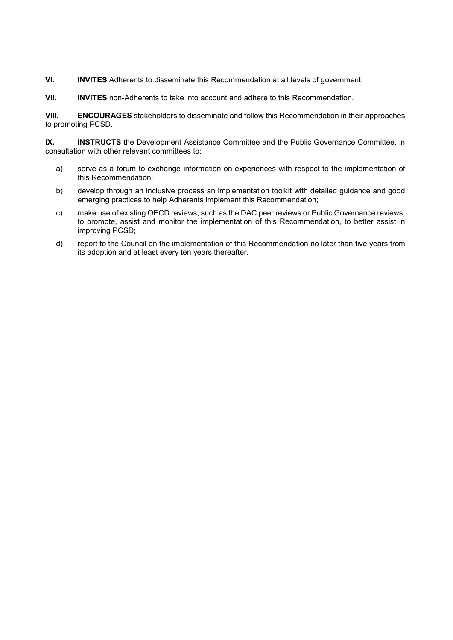**VI. INVITES** Adherents to disseminate this Recommendation at all levels of government.

**VII. INVITES** non-Adherents to take into account and adhere to this Recommendation.

**VIII. ENCOURAGES** stakeholders to disseminate and follow this Recommendation in their approaches to promoting PCSD.

**IX. INSTRUCTS** the Development Assistance Committee and the Public Governance Committee, in consultation with other relevant committees to:

- a) serve as a forum to exchange information on experiences with respect to the implementation of this Recommendation;
- b) develop through an inclusive process an implementation toolkit with detailed guidance and good emerging practices to help Adherents implement this Recommendation;
- c) make use of existing OECD reviews, such as the DAC peer reviews or Public Governance reviews, to promote, assist and monitor the implementation of this Recommendation, to better assist in improving PCSD;
- d) report to the Council on the implementation of this Recommendation no later than five years from its adoption and at least every ten years thereafter.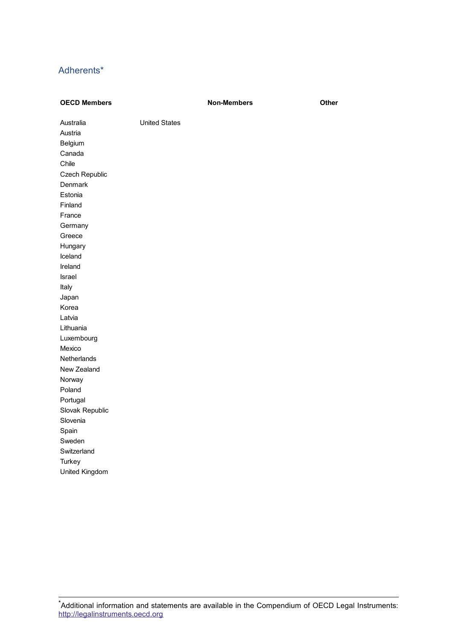# Adherents\*

| <b>OECD Members</b>  |                      | <b>Non-Members</b> | Other |
|----------------------|----------------------|--------------------|-------|
| Australia<br>Austria | <b>United States</b> |                    |       |
| Belgium              |                      |                    |       |
| Canada               |                      |                    |       |
| Chile                |                      |                    |       |
| Czech Republic       |                      |                    |       |
| Denmark              |                      |                    |       |
| Estonia              |                      |                    |       |
| Finland              |                      |                    |       |
| France               |                      |                    |       |
| Germany              |                      |                    |       |
| Greece               |                      |                    |       |
| Hungary              |                      |                    |       |
| Iceland              |                      |                    |       |
| Ireland              |                      |                    |       |
| Israel               |                      |                    |       |
| Italy                |                      |                    |       |
| Japan                |                      |                    |       |
| Korea                |                      |                    |       |
| Latvia               |                      |                    |       |
| Lithuania            |                      |                    |       |
| Luxembourg           |                      |                    |       |
| Mexico               |                      |                    |       |
| Netherlands          |                      |                    |       |
| New Zealand          |                      |                    |       |
| Norway               |                      |                    |       |
| Poland               |                      |                    |       |
| Portugal             |                      |                    |       |
| Slovak Republic      |                      |                    |       |
| Slovenia             |                      |                    |       |
| Spain                |                      |                    |       |
| Sweden               |                      |                    |       |
| Switzerland          |                      |                    |       |
| Turkey               |                      |                    |       |
| United Kingdom       |                      |                    |       |
|                      |                      |                    |       |

 $\mathring{\;}$ Additional information and statements are available in the Compendium of OECD Legal Instruments: http://legalinstruments.oecd.org